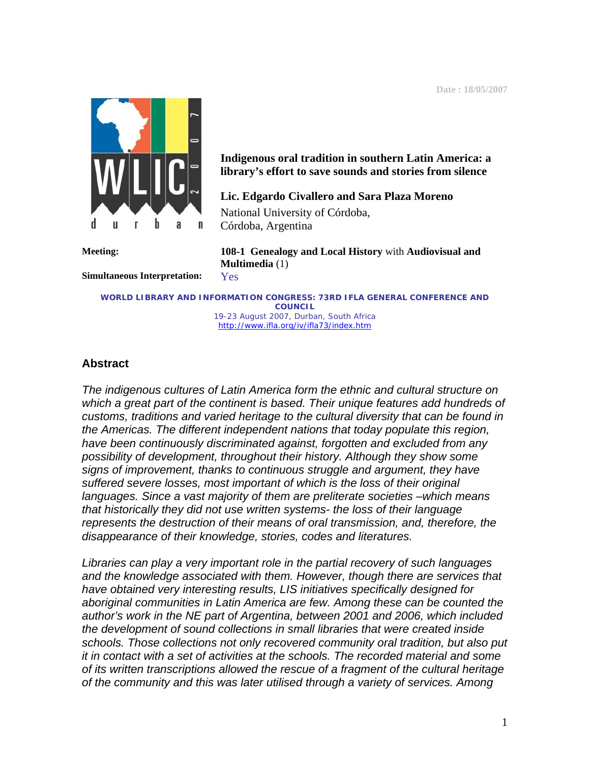**Date : 18/05/2007** 



**Indigenous oral tradition in southern Latin America: a library's effort to save sounds and stories from silence** 

**Lic. Edgardo Civallero and Sara Plaza Moreno**  National University of Córdoba, Córdoba, Argentina

**Simultaneous Interpretation:** Yes

**Meeting: 108-1 Genealogy and Local History** with **Audiovisual and Multimedia** (1)

**WORLD LIBRARY AND INFORMATION CONGRESS: 73RD IFLA GENERAL CONFERENCE AND COUNCIL**  19-23 August 2007, Durban, South Africa <http://www.ifla.org/iv/ifla73/index.htm>

### **Abstract**

*The indigenous cultures of Latin America form the ethnic and cultural structure on which a great part of the continent is based. Their unique features add hundreds of customs, traditions and varied heritage to the cultural diversity that can be found in the Americas. The different independent nations that today populate this region, have been continuously discriminated against, forgotten and excluded from any possibility of development, throughout their history. Although they show some signs of improvement, thanks to continuous struggle and argument, they have suffered severe losses, most important of which is the loss of their original languages. Since a vast majority of them are preliterate societies –which means that historically they did not use written systems- the loss of their language represents the destruction of their means of oral transmission, and, therefore, the disappearance of their knowledge, stories, codes and literatures.* 

*Libraries can play a very important role in the partial recovery of such languages and the knowledge associated with them. However, though there are services that have obtained very interesting results, LIS initiatives specifically designed for aboriginal communities in Latin America are few. Among these can be counted the author's work in the NE part of Argentina, between 2001 and 2006, which included the development of sound collections in small libraries that were created inside schools. Those collections not only recovered community oral tradition, but also put it in contact with a set of activities at the schools. The recorded material and some of its written transcriptions allowed the rescue of a fragment of the cultural heritage of the community and this was later utilised through a variety of services. Among*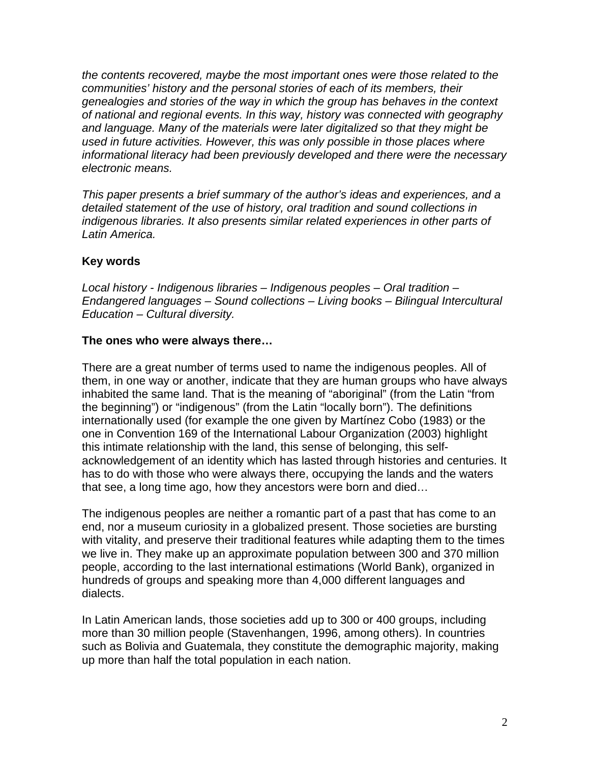*the contents recovered, maybe the most important ones were those related to the communities' history and the personal stories of each of its members, their genealogies and stories of the way in which the group has behaves in the context of national and regional events. In this way, history was connected with geography and language. Many of the materials were later digitalized so that they might be used in future activities. However, this was only possible in those places where informational literacy had been previously developed and there were the necessary electronic means.* 

*This paper presents a brief summary of the author's ideas and experiences, and a detailed statement of the use of history, oral tradition and sound collections in indigenous libraries. It also presents similar related experiences in other parts of Latin America.* 

## **Key words**

*Local history - Indigenous libraries – Indigenous peoples – Oral tradition – Endangered languages – Sound collections – Living books – Bilingual Intercultural Education – Cultural diversity.* 

### **The ones who were always there…**

There are a great number of terms used to name the indigenous peoples. All of them, in one way or another, indicate that they are human groups who have always inhabited the same land. That is the meaning of "aboriginal" (from the Latin "from the beginning") or "indigenous" (from the Latin "locally born"). The definitions internationally used (for example the one given by Martínez Cobo (1983) or the one in Convention 169 of the International Labour Organization (2003) highlight this intimate relationship with the land, this sense of belonging, this selfacknowledgement of an identity which has lasted through histories and centuries. It has to do with those who were always there, occupying the lands and the waters that see, a long time ago, how they ancestors were born and died…

The indigenous peoples are neither a romantic part of a past that has come to an end, nor a museum curiosity in a globalized present. Those societies are bursting with vitality, and preserve their traditional features while adapting them to the times we live in. They make up an approximate population between 300 and 370 million people, according to the last international estimations (World Bank), organized in hundreds of groups and speaking more than 4,000 different languages and dialects.

In Latin American lands, those societies add up to 300 or 400 groups, including more than 30 million people (Stavenhangen, 1996, among others). In countries such as Bolivia and Guatemala, they constitute the demographic majority, making up more than half the total population in each nation.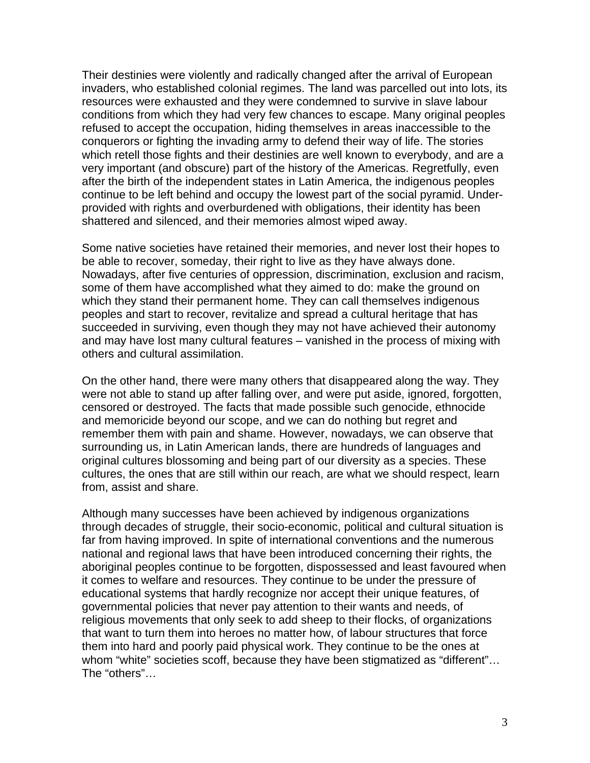Their destinies were violently and radically changed after the arrival of European invaders, who established colonial regimes. The land was parcelled out into lots, its resources were exhausted and they were condemned to survive in slave labour conditions from which they had very few chances to escape. Many original peoples refused to accept the occupation, hiding themselves in areas inaccessible to the conquerors or fighting the invading army to defend their way of life. The stories which retell those fights and their destinies are well known to everybody, and are a very important (and obscure) part of the history of the Americas. Regretfully, even after the birth of the independent states in Latin America, the indigenous peoples continue to be left behind and occupy the lowest part of the social pyramid. Underprovided with rights and overburdened with obligations, their identity has been shattered and silenced, and their memories almost wiped away.

Some native societies have retained their memories, and never lost their hopes to be able to recover, someday, their right to live as they have always done. Nowadays, after five centuries of oppression, discrimination, exclusion and racism, some of them have accomplished what they aimed to do: make the ground on which they stand their permanent home. They can call themselves indigenous peoples and start to recover, revitalize and spread a cultural heritage that has succeeded in surviving, even though they may not have achieved their autonomy and may have lost many cultural features – vanished in the process of mixing with others and cultural assimilation.

On the other hand, there were many others that disappeared along the way. They were not able to stand up after falling over, and were put aside, ignored, forgotten, censored or destroyed. The facts that made possible such genocide, ethnocide and memoricide beyond our scope, and we can do nothing but regret and remember them with pain and shame. However, nowadays, we can observe that surrounding us, in Latin American lands, there are hundreds of languages and original cultures blossoming and being part of our diversity as a species. These cultures, the ones that are still within our reach, are what we should respect, learn from, assist and share.

Although many successes have been achieved by indigenous organizations through decades of struggle, their socio-economic, political and cultural situation is far from having improved. In spite of international conventions and the numerous national and regional laws that have been introduced concerning their rights, the aboriginal peoples continue to be forgotten, dispossessed and least favoured when it comes to welfare and resources. They continue to be under the pressure of educational systems that hardly recognize nor accept their unique features, of governmental policies that never pay attention to their wants and needs, of religious movements that only seek to add sheep to their flocks, of organizations that want to turn them into heroes no matter how, of labour structures that force them into hard and poorly paid physical work. They continue to be the ones at whom "white" societies scoff, because they have been stigmatized as "different"… The "others"…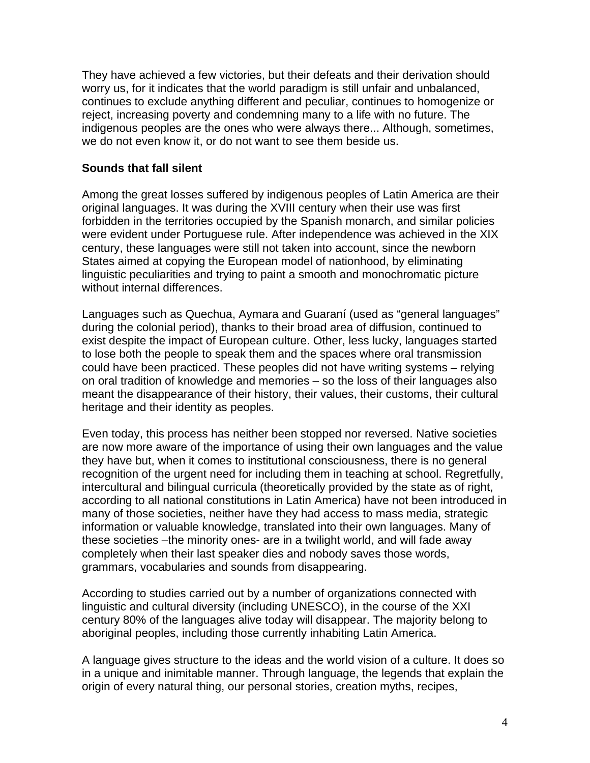They have achieved a few victories, but their defeats and their derivation should worry us, for it indicates that the world paradigm is still unfair and unbalanced, continues to exclude anything different and peculiar, continues to homogenize or reject, increasing poverty and condemning many to a life with no future. The indigenous peoples are the ones who were always there... Although, sometimes, we do not even know it, or do not want to see them beside us.

#### **Sounds that fall silent**

Among the great losses suffered by indigenous peoples of Latin America are their original languages. It was during the XVIII century when their use was first forbidden in the territories occupied by the Spanish monarch, and similar policies were evident under Portuguese rule. After independence was achieved in the XIX century, these languages were still not taken into account, since the newborn States aimed at copying the European model of nationhood, by eliminating linguistic peculiarities and trying to paint a smooth and monochromatic picture without internal differences.

Languages such as Quechua, Aymara and Guaraní (used as "general languages" during the colonial period), thanks to their broad area of diffusion, continued to exist despite the impact of European culture. Other, less lucky, languages started to lose both the people to speak them and the spaces where oral transmission could have been practiced. These peoples did not have writing systems – relying on oral tradition of knowledge and memories – so the loss of their languages also meant the disappearance of their history, their values, their customs, their cultural heritage and their identity as peoples.

Even today, this process has neither been stopped nor reversed. Native societies are now more aware of the importance of using their own languages and the value they have but, when it comes to institutional consciousness, there is no general recognition of the urgent need for including them in teaching at school. Regretfully, intercultural and bilingual curricula (theoretically provided by the state as of right, according to all national constitutions in Latin America) have not been introduced in many of those societies, neither have they had access to mass media, strategic information or valuable knowledge, translated into their own languages. Many of these societies –the minority ones- are in a twilight world, and will fade away completely when their last speaker dies and nobody saves those words, grammars, vocabularies and sounds from disappearing.

According to studies carried out by a number of organizations connected with linguistic and cultural diversity (including UNESCO), in the course of the XXI century 80% of the languages alive today will disappear. The majority belong to aboriginal peoples, including those currently inhabiting Latin America.

A language gives structure to the ideas and the world vision of a culture. It does so in a unique and inimitable manner. Through language, the legends that explain the origin of every natural thing, our personal stories, creation myths, recipes,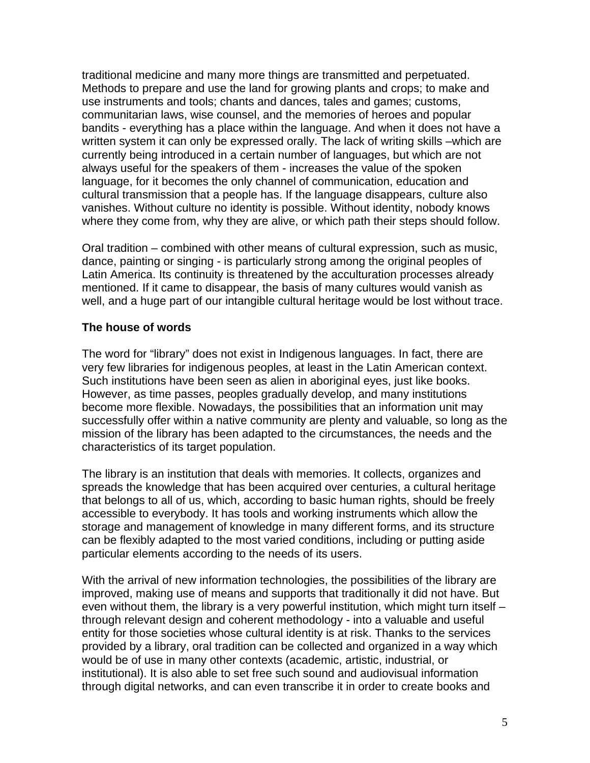traditional medicine and many more things are transmitted and perpetuated. Methods to prepare and use the land for growing plants and crops; to make and use instruments and tools; chants and dances, tales and games; customs, communitarian laws, wise counsel, and the memories of heroes and popular bandits - everything has a place within the language. And when it does not have a written system it can only be expressed orally. The lack of writing skills –which are currently being introduced in a certain number of languages, but which are not always useful for the speakers of them - increases the value of the spoken language, for it becomes the only channel of communication, education and cultural transmission that a people has. If the language disappears, culture also vanishes. Without culture no identity is possible. Without identity, nobody knows where they come from, why they are alive, or which path their steps should follow.

Oral tradition – combined with other means of cultural expression, such as music, dance, painting or singing - is particularly strong among the original peoples of Latin America. Its continuity is threatened by the acculturation processes already mentioned. If it came to disappear, the basis of many cultures would vanish as well, and a huge part of our intangible cultural heritage would be lost without trace.

## **The house of words**

The word for "library" does not exist in Indigenous languages. In fact, there are very few libraries for indigenous peoples, at least in the Latin American context. Such institutions have been seen as alien in aboriginal eyes, just like books. However, as time passes, peoples gradually develop, and many institutions become more flexible. Nowadays, the possibilities that an information unit may successfully offer within a native community are plenty and valuable, so long as the mission of the library has been adapted to the circumstances, the needs and the characteristics of its target population.

The library is an institution that deals with memories. It collects, organizes and spreads the knowledge that has been acquired over centuries, a cultural heritage that belongs to all of us, which, according to basic human rights, should be freely accessible to everybody. It has tools and working instruments which allow the storage and management of knowledge in many different forms, and its structure can be flexibly adapted to the most varied conditions, including or putting aside particular elements according to the needs of its users.

With the arrival of new information technologies, the possibilities of the library are improved, making use of means and supports that traditionally it did not have. But even without them, the library is a very powerful institution, which might turn itself – through relevant design and coherent methodology - into a valuable and useful entity for those societies whose cultural identity is at risk. Thanks to the services provided by a library, oral tradition can be collected and organized in a way which would be of use in many other contexts (academic, artistic, industrial, or institutional). It is also able to set free such sound and audiovisual information through digital networks, and can even transcribe it in order to create books and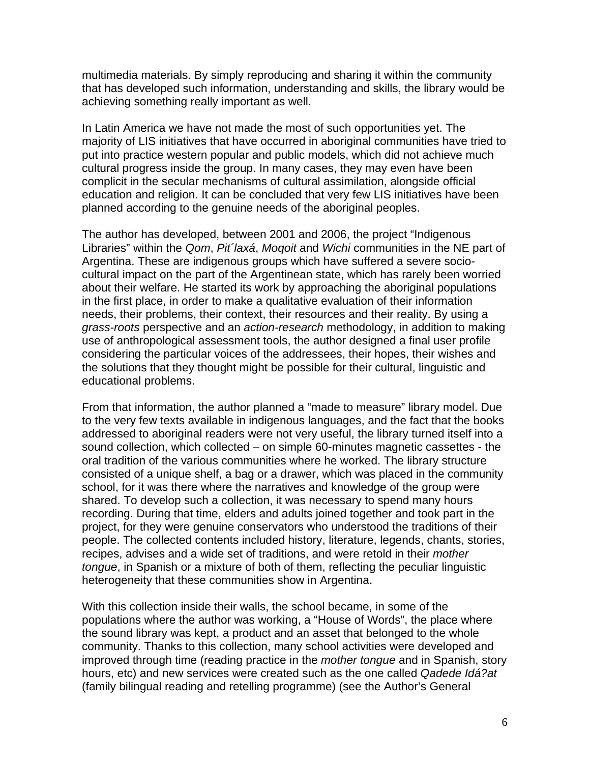multimedia materials. By simply reproducing and sharing it within the community that has developed such information, understanding and skills, the library would be achieving something really important as well.

In Latin America we have not made the most of such opportunities yet. The majority of LIS initiatives that have occurred in aboriginal communities have tried to put into practice western popular and public models, which did not achieve much cultural progress inside the group. In many cases, they may even have been complicit in the secular mechanisms of cultural assimilation, alongside official education and religion. It can be concluded that very few LIS initiatives have been planned according to the genuine needs of the aboriginal peoples.

The author has developed, between 2001 and 2006, the project "Indigenous Libraries" within the *Qom*, *Pit´laxá*, *Moqoit* and *Wichi* communities in the NE part of Argentina. These are indigenous groups which have suffered a severe sociocultural impact on the part of the Argentinean state, which has rarely been worried about their welfare. He started its work by approaching the aboriginal populations in the first place, in order to make a qualitative evaluation of their information needs, their problems, their context, their resources and their reality. By using a *grass-roots* perspective and an *action-research* methodology, in addition to making use of anthropological assessment tools, the author designed a final user profile considering the particular voices of the addressees, their hopes, their wishes and the solutions that they thought might be possible for their cultural, linguistic and educational problems.

From that information, the author planned a "made to measure" library model. Due to the very few texts available in indigenous languages, and the fact that the books addressed to aboriginal readers were not very useful, the library turned itself into a sound collection, which collected – on simple 60-minutes magnetic cassettes - the oral tradition of the various communities where he worked. The library structure consisted of a unique shelf, a bag or a drawer, which was placed in the community school, for it was there where the narratives and knowledge of the group were shared. To develop such a collection, it was necessary to spend many hours recording. During that time, elders and adults joined together and took part in the project, for they were genuine conservators who understood the traditions of their people. The collected contents included history, literature, legends, chants, stories, recipes, advises and a wide set of traditions, and were retold in their *mother tongue*, in Spanish or a mixture of both of them, reflecting the peculiar linguistic heterogeneity that these communities show in Argentina.

With this collection inside their walls, the school became, in some of the populations where the author was working, a "House of Words", the place where the sound library was kept, a product and an asset that belonged to the whole community. Thanks to this collection, many school activities were developed and improved through time (reading practice in the *mother tongue* and in Spanish, story hours, etc) and new services were created such as the one called *Qadede Idá?at* (family bilingual reading and retelling programme) (see the Author's General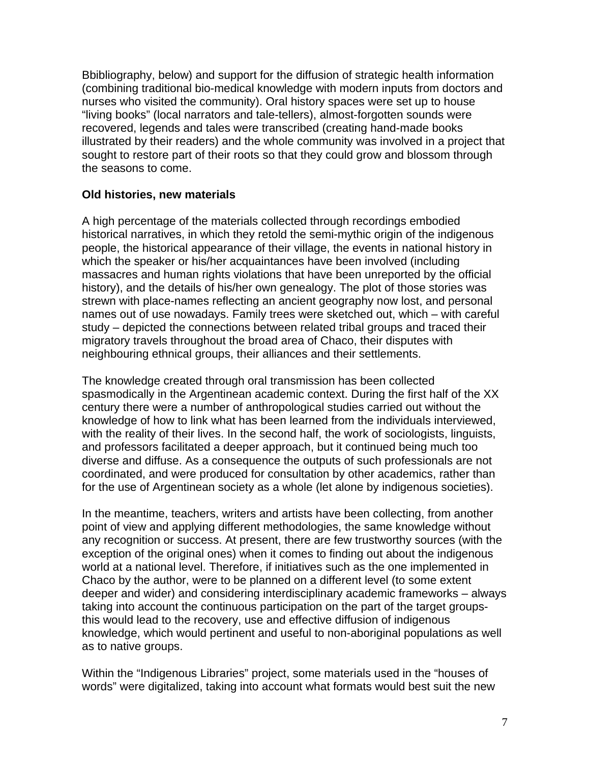Bbibliography, below) and support for the diffusion of strategic health information (combining traditional bio-medical knowledge with modern inputs from doctors and nurses who visited the community). Oral history spaces were set up to house "living books" (local narrators and tale-tellers), almost-forgotten sounds were recovered, legends and tales were transcribed (creating hand-made books illustrated by their readers) and the whole community was involved in a project that sought to restore part of their roots so that they could grow and blossom through the seasons to come.

## **Old histories, new materials**

A high percentage of the materials collected through recordings embodied historical narratives, in which they retold the semi-mythic origin of the indigenous people, the historical appearance of their village, the events in national history in which the speaker or his/her acquaintances have been involved (including massacres and human rights violations that have been unreported by the official history), and the details of his/her own genealogy. The plot of those stories was strewn with place-names reflecting an ancient geography now lost, and personal names out of use nowadays. Family trees were sketched out, which – with careful study – depicted the connections between related tribal groups and traced their migratory travels throughout the broad area of Chaco, their disputes with neighbouring ethnical groups, their alliances and their settlements.

The knowledge created through oral transmission has been collected spasmodically in the Argentinean academic context. During the first half of the XX century there were a number of anthropological studies carried out without the knowledge of how to link what has been learned from the individuals interviewed, with the reality of their lives. In the second half, the work of sociologists, linguists, and professors facilitated a deeper approach, but it continued being much too diverse and diffuse. As a consequence the outputs of such professionals are not coordinated, and were produced for consultation by other academics, rather than for the use of Argentinean society as a whole (let alone by indigenous societies).

In the meantime, teachers, writers and artists have been collecting, from another point of view and applying different methodologies, the same knowledge without any recognition or success. At present, there are few trustworthy sources (with the exception of the original ones) when it comes to finding out about the indigenous world at a national level. Therefore, if initiatives such as the one implemented in Chaco by the author, were to be planned on a different level (to some extent deeper and wider) and considering interdisciplinary academic frameworks – always taking into account the continuous participation on the part of the target groupsthis would lead to the recovery, use and effective diffusion of indigenous knowledge, which would pertinent and useful to non-aboriginal populations as well as to native groups.

Within the "Indigenous Libraries" project, some materials used in the "houses of words" were digitalized, taking into account what formats would best suit the new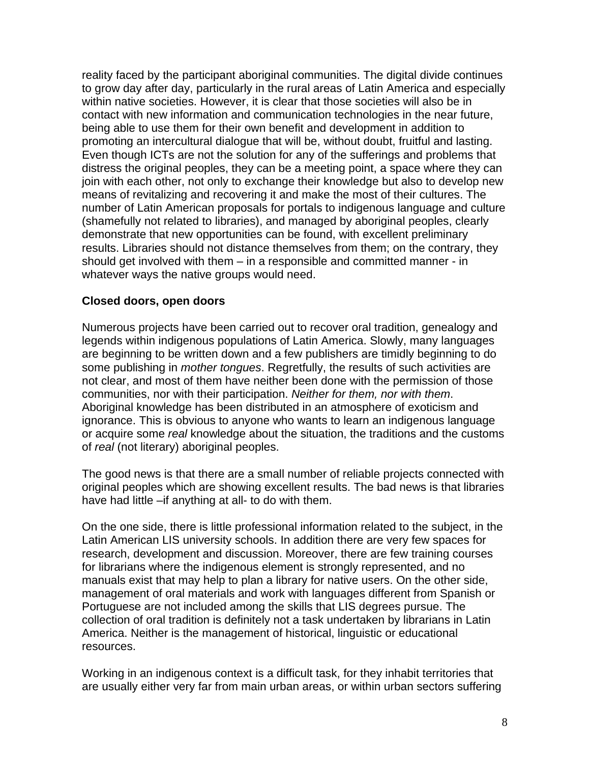reality faced by the participant aboriginal communities. The digital divide continues to grow day after day, particularly in the rural areas of Latin America and especially within native societies. However, it is clear that those societies will also be in contact with new information and communication technologies in the near future, being able to use them for their own benefit and development in addition to promoting an intercultural dialogue that will be, without doubt, fruitful and lasting. Even though ICTs are not the solution for any of the sufferings and problems that distress the original peoples, they can be a meeting point, a space where they can join with each other, not only to exchange their knowledge but also to develop new means of revitalizing and recovering it and make the most of their cultures. The number of Latin American proposals for portals to indigenous language and culture (shamefully not related to libraries), and managed by aboriginal peoples, clearly demonstrate that new opportunities can be found, with excellent preliminary results. Libraries should not distance themselves from them; on the contrary, they should get involved with them – in a responsible and committed manner - in whatever ways the native groups would need.

### **Closed doors, open doors**

Numerous projects have been carried out to recover oral tradition, genealogy and legends within indigenous populations of Latin America. Slowly, many languages are beginning to be written down and a few publishers are timidly beginning to do some publishing in *mother tongues*. Regretfully, the results of such activities are not clear, and most of them have neither been done with the permission of those communities, nor with their participation. *Neither for them, nor with them*. Aboriginal knowledge has been distributed in an atmosphere of exoticism and ignorance. This is obvious to anyone who wants to learn an indigenous language or acquire some *real* knowledge about the situation, the traditions and the customs of *real* (not literary) aboriginal peoples.

The good news is that there are a small number of reliable projects connected with original peoples which are showing excellent results. The bad news is that libraries have had little –if anything at all- to do with them.

On the one side, there is little professional information related to the subject, in the Latin American LIS university schools. In addition there are very few spaces for research, development and discussion. Moreover, there are few training courses for librarians where the indigenous element is strongly represented, and no manuals exist that may help to plan a library for native users. On the other side, management of oral materials and work with languages different from Spanish or Portuguese are not included among the skills that LIS degrees pursue. The collection of oral tradition is definitely not a task undertaken by librarians in Latin America. Neither is the management of historical, linguistic or educational resources.

Working in an indigenous context is a difficult task, for they inhabit territories that are usually either very far from main urban areas, or within urban sectors suffering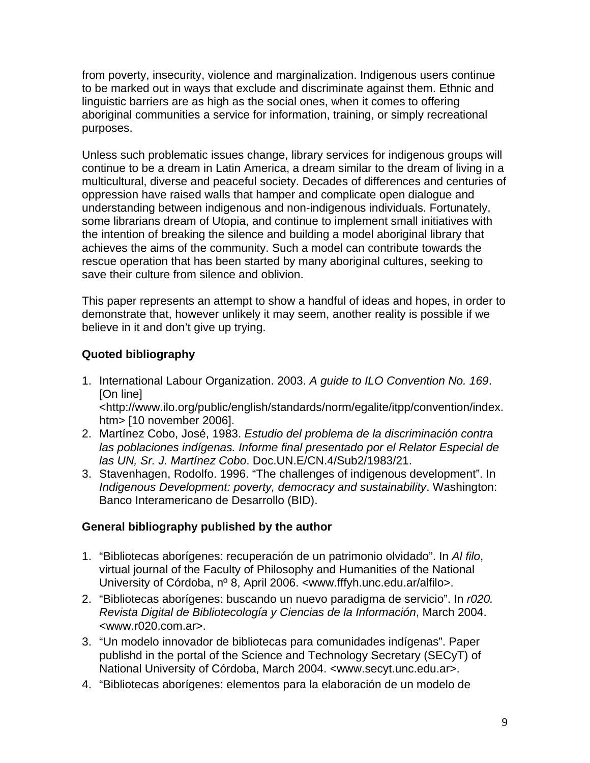from poverty, insecurity, violence and marginalization. Indigenous users continue to be marked out in ways that exclude and discriminate against them. Ethnic and linguistic barriers are as high as the social ones, when it comes to offering aboriginal communities a service for information, training, or simply recreational purposes.

Unless such problematic issues change, library services for indigenous groups will continue to be a dream in Latin America, a dream similar to the dream of living in a multicultural, diverse and peaceful society. Decades of differences and centuries of oppression have raised walls that hamper and complicate open dialogue and understanding between indigenous and non-indigenous individuals. Fortunately, some librarians dream of Utopia, and continue to implement small initiatives with the intention of breaking the silence and building a model aboriginal library that achieves the aims of the community. Such a model can contribute towards the rescue operation that has been started by many aboriginal cultures, seeking to save their culture from silence and oblivion.

This paper represents an attempt to show a handful of ideas and hopes, in order to demonstrate that, however unlikely it may seem, another reality is possible if we believe in it and don't give up trying.

# **Quoted bibliography**

- 1. International Labour Organization. 2003. *A guide to ILO Convention No. 169*. [On line] <http://www.ilo.org/public/english/standards/norm/egalite/itpp/convention/index. htm> [10 november 2006].
- 2. Martínez Cobo, José, 1983. *Estudio del problema de la discriminación contra las poblaciones indígenas. Informe final presentado por el Relator Especial de las UN, Sr. J. Martínez Cobo*. Doc.UN.E/CN.4/Sub2/1983/21.
- 3. Stavenhagen, Rodolfo. 1996. "The challenges of indigenous development". In *Indigenous Development: poverty, democracy and sustainability*. Washington: Banco Interamericano de Desarrollo (BID).

# **General bibliography published by the author**

- 1. "Bibliotecas aborígenes: recuperación de un patrimonio olvidado". In *Al filo*, virtual journal of the Faculty of Philosophy and Humanities of the National University of Córdoba, nº 8, April 2006. <www.fffyh.unc.edu.ar/alfilo>.
- 2. "Bibliotecas aborígenes: buscando un nuevo paradigma de servicio". In *r020. Revista Digital de Bibliotecología y Ciencias de la Información*, March 2004. <www.r020.com.ar>.
- 3. "Un modelo innovador de bibliotecas para comunidades indígenas". Paper publishd in the portal of the Science and Technology Secretary (SECyT) of National University of Córdoba, March 2004. <www.secyt.unc.edu.ar>.
- 4. "Bibliotecas aborígenes: elementos para la elaboración de un modelo de